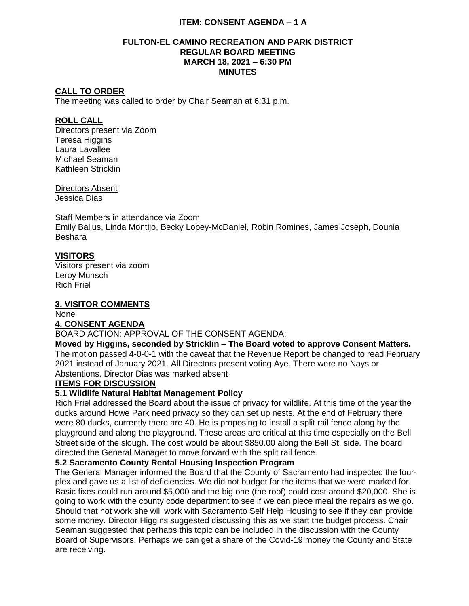# **ITEM: CONSENT AGENDA – 1 A**

#### **FULTON-EL CAMINO RECREATION AND PARK DISTRICT REGULAR BOARD MEETING MARCH 18, 2021 – 6:30 PM MINUTES**

#### **CALL TO ORDER**

The meeting was called to order by Chair Seaman at 6:31 p.m.

#### **ROLL CALL**

Directors present via Zoom **Teresa Higgins** Laura Lavallee Michael Seaman Kathleen Stricklin

Directors Absent Jessica Dias

Staff Members in attendance via Zoom Emily Ballus, Linda Montijo, Becky Lopey-McDaniel, Robin Romines, James Joseph, Dounia Beshara

# **VISITORS**

Visitors present via zoom Leroy Munsch Rich Friel

## **3. VISITOR COMMENTS**

None

## **4. CONSENT AGENDA**

BOARD ACTION: APPROVAL OF THE CONSENT AGENDA:

#### **Moved by Higgins, seconded by Stricklin – The Board voted to approve Consent Matters.**

The motion passed 4-0-0-1 with the caveat that the Revenue Report be changed to read February 2021 instead of January 2021. All Directors present voting Aye. There were no Nays or Abstentions. Director Dias was marked absent

## **ITEMS FOR DISCUSSION**

# **5.1 Wildlife Natural Habitat Management Policy**

Rich Friel addressed the Board about the issue of privacy for wildlife. At this time of the year the ducks around Howe Park need privacy so they can set up nests. At the end of February there were 80 ducks, currently there are 40. He is proposing to install a split rail fence along by the playground and along the playground. These areas are critical at this time especially on the Bell Street side of the slough. The cost would be about \$850.00 along the Bell St. side. The board directed the General Manager to move forward with the split rail fence.

## **5.2 Sacramento County Rental Housing Inspection Program**

The General Manager informed the Board that the County of Sacramento had inspected the fourplex and gave us a list of deficiencies. We did not budget for the items that we were marked for. Basic fixes could run around \$5,000 and the big one (the roof) could cost around \$20,000. She is going to work with the county code department to see if we can piece meal the repairs as we go. Should that not work she will work with Sacramento Self Help Housing to see if they can provide some money. Director Higgins suggested discussing this as we start the budget process. Chair Seaman suggested that perhaps this topic can be included in the discussion with the County Board of Supervisors. Perhaps we can get a share of the Covid-19 money the County and State are receiving.